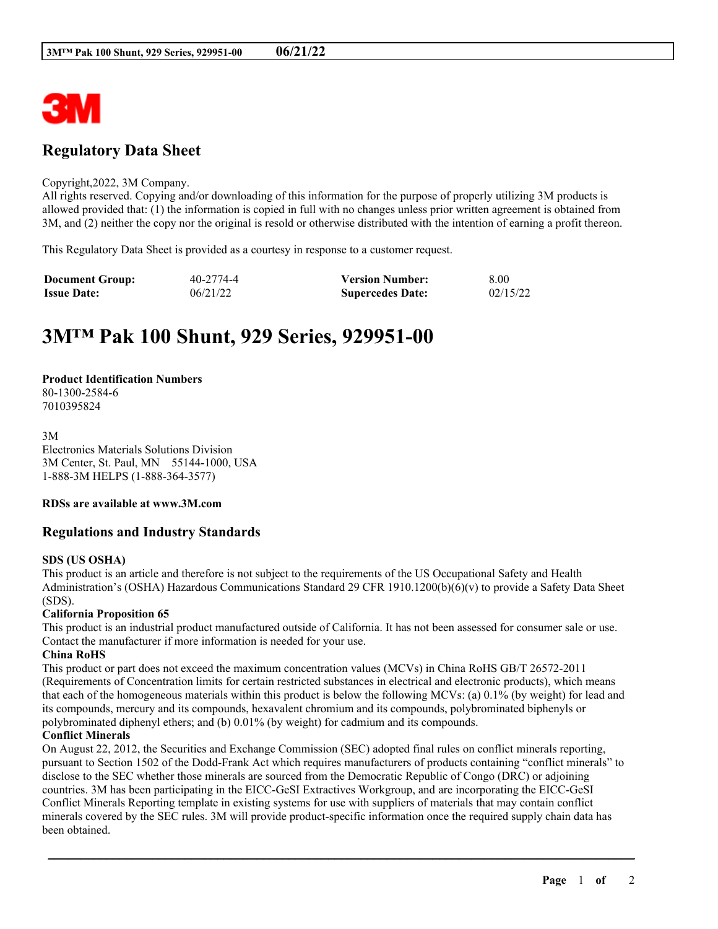

# **Regulatory Data Sheet**

#### Copyright,2022, 3M Company.

All rights reserved. Copying and/or downloading of this information for the purpose of properly utilizing 3M products is allowed provided that: (1) the information is copied in full with no changes unless prior written agreement is obtained from 3M, and (2) neither the copy nor the original is resold or otherwise distributed with the intention of earning a profit thereon.

This Regulatory Data Sheet is provided as a courtesy in response to a customer request.

| <b>Document Group:</b> | 40-2774-4 | <b>Version Number:</b>  | 8.00     |
|------------------------|-----------|-------------------------|----------|
| <b>Issue Date:</b>     | 06/21/22  | <b>Supercedes Date:</b> | 02/15/22 |

# **3M™ Pak 100 Shunt, 929 Series, 929951-00**

# **Product Identification Numbers**

80-1300-2584-6 7010395824

3M Electronics Materials Solutions Division 3M Center, St. Paul, MN 55144-1000, USA 1-888-3M HELPS (1-888-364-3577)

# **RDSs are available at www.3M.com**

# **Regulations and Industry Standards**

# **SDS (US OSHA)**

This product is an article and therefore is not subject to the requirements of the US Occupational Safety and Health Administration's (OSHA) Hazardous Communications Standard 29 CFR 1910.1200(b)(6)(v) to provide a Safety Data Sheet (SDS).

# **California Proposition 65**

This product is an industrial product manufactured outside of California. It has not been assessed for consumer sale or use. Contact the manufacturer if more information is needed for your use.

# **China RoHS**

This product or part does not exceed the maximum concentration values (MCVs) in China RoHS GB/T 26572-2011 (Requirements of Concentration limits for certain restricted substances in electrical and electronic products), which means that each of the homogeneous materials within this product is below the following MCVs: (a) 0.1% (by weight) for lead and its compounds, mercury and its compounds, hexavalent chromium and its compounds, polybrominated biphenyls or polybrominated diphenyl ethers; and (b) 0.01% (by weight) for cadmium and its compounds.

# **Conflict Minerals**

On August 22, 2012, the Securities and Exchange Commission (SEC) adopted final rules on conflict minerals reporting, pursuant to Section 1502 of the Dodd-Frank Act which requires manufacturers of products containing "conflict minerals" to disclose to the SEC whether those minerals are sourced from the Democratic Republic of Congo (DRC) or adjoining countries. 3M has been participating in the EICC-GeSI Extractives Workgroup, and are incorporating the EICC-GeSI Conflict Minerals Reporting template in existing systems for use with suppliers of materials that may contain conflict minerals covered by the SEC rules. 3M will provide product-specific information once the required supply chain data has been obtained.

\_\_\_\_\_\_\_\_\_\_\_\_\_\_\_\_\_\_\_\_\_\_\_\_\_\_\_\_\_\_\_\_\_\_\_\_\_\_\_\_\_\_\_\_\_\_\_\_\_\_\_\_\_\_\_\_\_\_\_\_\_\_\_\_\_\_\_\_\_\_\_\_\_\_\_\_\_\_\_\_\_\_\_\_\_\_\_\_\_\_